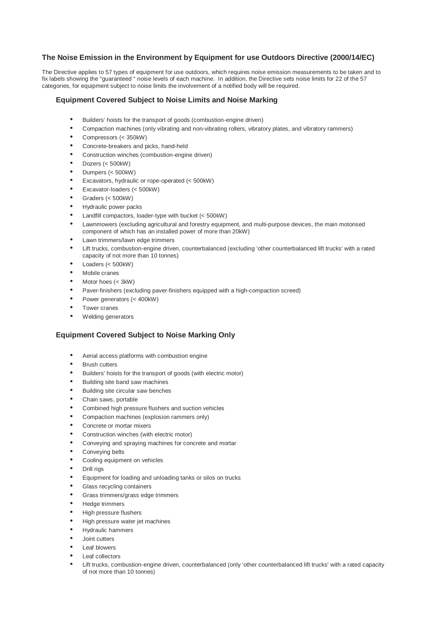## **The Noise Emission in the Environment by Equipment for use Outdoors Directive (2000/14/EC)**

The Directive applies to 57 types of equipment for use outdoors, which requires noise emission measurements to be taken and to fix labels showing the "guaranteed " noise levels of each machine. In addition, the Directive sets noise limits for 22 of the 57 categories, for equipment subject to noise limits the involvement of a notified body will be required.

## **Equipment Covered Subject to Noise Limits and Noise Marking**

- Builders' hoists for the transport of goods (combustion-engine driven)
- Compaction machines (only vibrating and non-vibrating rollers, vibratory plates, and vibratory rammers)
- Compressors (< 350kW)
- Concrete-breakers and picks, hand-held
- Construction winches (combustion-engine driven)
- Dozers (< 500kW)
- Dumpers (< 500kW)
- Excavators, hydraulic or rope-operated (< 500kW)
- Excavator-loaders (< 500kW)
- Graders (< 500kW)
- Hydraulic power packs
- Landfill compactors, loader-type with bucket (< 500kW)
- Lawnmowers (excluding agricultural and forestry equipment, and multi-purpose devices, the main motorised component of which has an installed power of more than 20kW)
- Lawn trimmers/lawn edge trimmers
- Lift trucks, combustion-engine driven, counterbalanced (excluding 'other counterbalanced lift trucks' with a rated capacity of not more than 10 tonnes)
- Loaders  $(< 500$ kW)
- Mobile cranes
- Motor hoes (< 3kW)
- Paver-finishers (excluding paver-finishers equipped with a high-compaction screed)
- Power generators (< 400kW)
- Tower cranes
- Welding generators

## **Equipment Covered Subject to Noise Marking Only**

- Aerial access platforms with combustion engine
- **Brush cutters**
- Builders' hoists for the transport of goods (with electric motor)
- Building site band saw machines
- Building site circular saw benches
- Chain saws, portable
- Combined high pressure flushers and suction vehicles
- Compaction machines (explosion rammers only)
- Concrete or mortar mixers
- Construction winches (with electric motor)
- Conveying and spraying machines for concrete and mortar
- Conveying belts
- Cooling equipment on vehicles
- Drill rigs
- Equipment for loading and unloading tanks or silos on trucks
- Glass recycling containers
- Grass trimmers/grass edge trimmers
- Hedge trimmers
- High pressure flushers
- High pressure water jet machines
- Hydraulic hammers
- Joint cutters
- Leaf blowers
- Leaf collectors
- Lift trucks, combustion-engine driven, counterbalanced (only 'other counterbalanced lift trucks' with a rated capacity of not more than 10 tonnes)